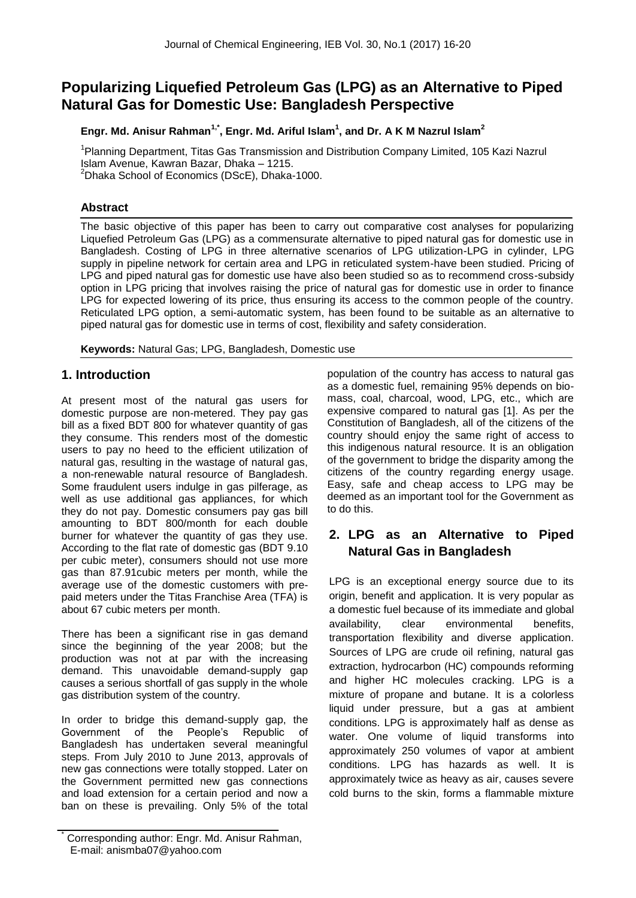# **Popularizing Liquefied Petroleum Gas (LPG) as an Alternative to Piped Natural Gas for Domestic Use: Bangladesh Perspective**

### **Engr. Md. Anisur Rahman1,\*, Engr. Md. Ariful Islam<sup>1</sup> , and Dr. A K M Nazrul Islam<sup>2</sup>**

<sup>1</sup>Planning Department, Titas Gas Transmission and Distribution Company Limited, 105 Kazi Nazrul Islam Avenue, Kawran Bazar, Dhaka – 1215.  $2$ Dhaka School of Economics (DScE), Dhaka-1000.

### **Abstract**

The basic objective of this paper has been to carry out comparative cost analyses for popularizing Liquefied Petroleum Gas (LPG) as a commensurate alternative to piped natural gas for domestic use in Bangladesh. Costing of LPG in three alternative scenarios of LPG utilization-LPG in cylinder, LPG supply in pipeline network for certain area and LPG in reticulated system-have been studied. Pricing of LPG and piped natural gas for domestic use have also been studied so as to recommend cross-subsidy option in LPG pricing that involves raising the price of natural gas for domestic use in order to finance LPG for expected lowering of its price, thus ensuring its access to the common people of the country. Reticulated LPG option, a semi-automatic system, has been found to be suitable as an alternative to piped natural gas for domestic use in terms of cost, flexibility and safety consideration.

**Keywords:** Natural Gas; LPG, Bangladesh, Domestic use

### **1. Introduction**

At present most of the natural gas users for domestic purpose are non-metered. They pay gas bill as a fixed BDT 800 for whatever quantity of gas they consume. This renders most of the domestic users to pay no heed to the efficient utilization of natural gas, resulting in the wastage of natural gas, a non-renewable natural resource of Bangladesh. Some fraudulent users indulge in gas pilferage, as well as use additional gas appliances, for which they do not pay. Domestic consumers pay gas bill amounting to BDT 800/month for each double burner for whatever the quantity of gas they use. According to the flat rate of domestic gas (BDT 9.10 per cubic meter), consumers should not use more gas than 87.91cubic meters per month, while the average use of the domestic customers with prepaid meters under the Titas Franchise Area (TFA) is about 67 cubic meters per month.

There has been a significant rise in gas demand since the beginning of the year 2008; but the production was not at par with the increasing demand. This unavoidable demand-supply gap causes a serious shortfall of gas supply in the whole gas distribution system of the country.

In order to bridge this demand-supply gap, the Government of the People's Republic of Bangladesh has undertaken several meaningful steps. From July 2010 to June 2013, approvals of new gas connections were totally stopped. Later on the Government permitted new gas connections and load extension for a certain period and now a ban on these is prevailing. Only 5% of the total population of the country has access to natural gas as a domestic fuel, remaining 95% depends on biomass, coal, charcoal, wood, LPG, etc., which are expensive compared to natural gas [1]. As per the Constitution of Bangladesh, all of the citizens of the country should enjoy the same right of access to this indigenous natural resource. It is an obligation of the government to bridge the disparity among the citizens of the country regarding energy usage. Easy, safe and cheap access to LPG may be deemed as an important tool for the Government as to do this.

## **2. LPG as an Alternative to Piped Natural Gas in Bangladesh**

LPG is an exceptional energy source due to its origin, benefit and application. It is very popular as a domestic fuel because of its immediate and global availability, clear environmental benefits, transportation flexibility and diverse application. Sources of LPG are crude oil refining, natural gas extraction, hydrocarbon (HC) compounds reforming and higher HC molecules cracking. LPG is a mixture of propane and butane. It is a colorless liquid under pressure, but a gas at ambient conditions. LPG is approximately half as dense as water. One volume of liquid transforms into approximately 250 volumes of vapor at ambient conditions. LPG has hazards as well. It is approximately twice as heavy as air, causes severe cold burns to the skin, forms a flammable mixture

Corresponding author: Engr. Md. Anisur Rahman, E-mail: anismba07@yahoo.com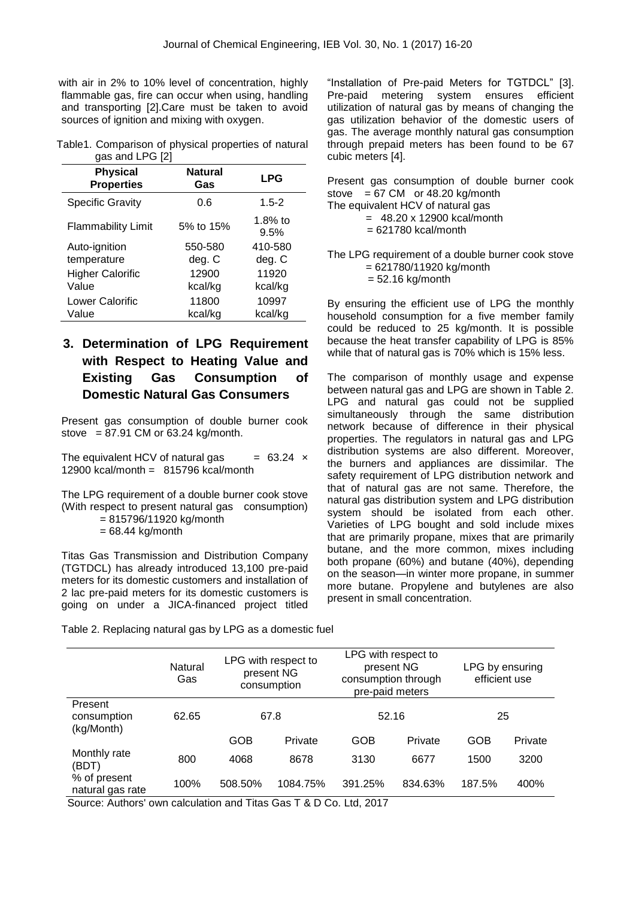with air in 2% to 10% level of concentration, highly flammable gas, fire can occur when using, handling and transporting [2].Care must be taken to avoid sources of ignition and mixing with oxygen.

Table1. Comparison of physical properties of natural gas and LPG [2]

| <b>Physical</b>           | <b>Natural</b>   | <b>LPG</b>       |
|---------------------------|------------------|------------------|
| <b>Properties</b>         | Gas              |                  |
| <b>Specific Gravity</b>   | 0.6              | $1.5 - 2$        |
| <b>Flammability Limit</b> | 5% to 15%        | 1.8% to<br>9.5%  |
| Auto-ignition             | 550-580          | 410-580          |
| temperature               | deg. C           | deg. C           |
| <b>Higher Calorific</b>   | 12900            | 11920            |
| Value                     | kcal/kg          | kcal/kg          |
| Lower Calorific<br>Value  | 11800<br>kcal/kg | 10997<br>kcal/kg |

## **3. Determination of LPG Requirement with Respect to Heating Value and Existing Gas Consumption of Domestic Natural Gas Consumers**

Present gas consumption of double burner cook stove =  $87.91$  CM or  $63.24$  kg/month.

The equivalent HCV of natural gas  $= 63.24 \times$ 12900 kcal/month = 815796 kcal/month

The LPG requirement of a double burner cook stove (With respect to present natural gas consumption)

= 815796/11920 kg/month

 $= 68.44$  kg/month

Monthly rate

% of present

Titas Gas Transmission and Distribution Company (TGTDCL) has already introduced 13,100 pre-paid meters for its domestic customers and installation of 2 lac pre-paid meters for its domestic customers is going on under a JICA-financed project titled

"Installation of Pre-paid Meters for TGTDCL" [3]. Pre-paid metering system ensures efficient utilization of natural gas by means of changing the gas utilization behavior of the domestic users of gas. The average monthly natural gas consumption through prepaid meters has been found to be 67 cubic meters [4].

|  | Present gas consumption of double burner cook |  |  |
|--|-----------------------------------------------|--|--|
|  | stove $= 67$ CM or 48.20 kg/month             |  |  |
|  | The equivalent HCV of natural gas             |  |  |

The LPG requirement of a double burner cook stove = 621780/11920 kg/month  $= 52.16$  kg/month

By ensuring the efficient use of LPG the monthly household consumption for a five member family could be reduced to 25 kg/month. It is possible because the heat transfer capability of LPG is 85% while that of natural gas is 70% which is 15% less.

The comparison of monthly usage and expense between natural gas and LPG are shown in Table 2. LPG and natural gas could not be supplied simultaneously through the same distribution network because of difference in their physical properties. The regulators in natural gas and LPG distribution systems are also different. Moreover, the burners and appliances are dissimilar. The safety requirement of LPG distribution network and that of natural gas are not same. Therefore, the natural gas distribution system and LPG distribution system should be isolated from each other. Varieties of LPG bought and sold include mixes that are primarily propane, mixes that are primarily butane, and the more common, mixes including both propane (60%) and butane (40%), depending on the season—in winter more propane, in summer more butane. Propylene and butylenes are also present in small concentration.

GOB Private GOB Private GOB Private

LPG by ensuring efficient use

|                                      | Natural<br>Gas | LPG with respect to<br>present NG<br>consumption | LPG with respect to<br>present NG<br>consumption through<br>pre-paid meters | LPG by e<br>efficien |
|--------------------------------------|----------------|--------------------------------------------------|-----------------------------------------------------------------------------|----------------------|
| Present<br>consumption<br>(kg/Month) | 62.65          | 67.8                                             | 52.16                                                                       | 25                   |

(BDT) <sup>800</sup> <sup>4068</sup> <sup>8678</sup> <sup>3130</sup> <sup>6677</sup> <sup>1500</sup> <sup>3200</sup>

natural gas rate 100% 508.50% 1084.75% 391.25% 834.63% 187.5% 400%

Table 2. Replacing natural gas by LPG as a domestic fuel

Source: Authors' own calculation and Titas Gas T & D Co. Ltd, 2017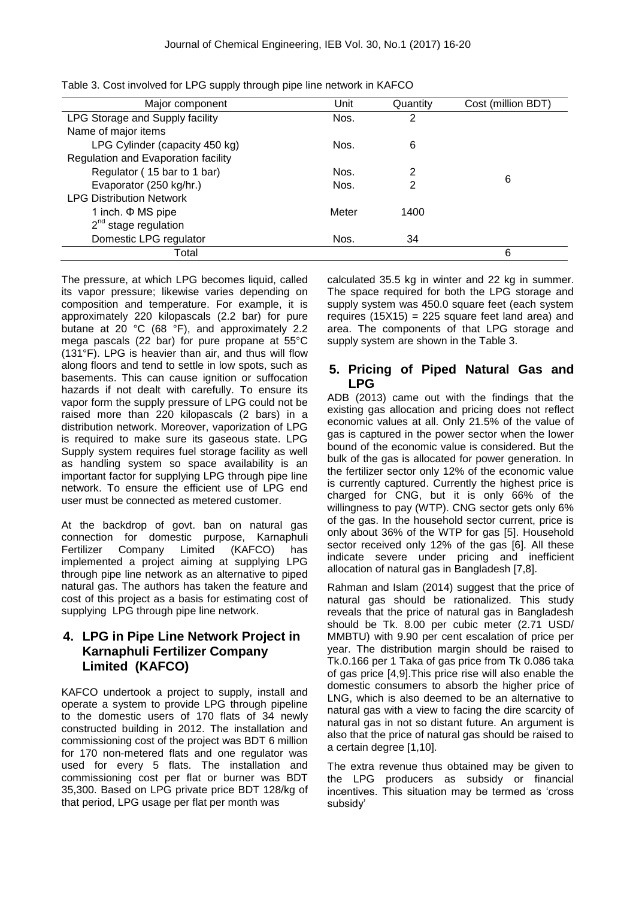| Major component                     | Unit  | Quantity | Cost (million BDT) |
|-------------------------------------|-------|----------|--------------------|
| LPG Storage and Supply facility     | Nos.  | 2        |                    |
| Name of major items                 |       |          |                    |
| LPG Cylinder (capacity 450 kg)      | Nos.  | 6        |                    |
| Regulation and Evaporation facility |       |          |                    |
| Regulator (15 bar to 1 bar)         | Nos.  | 2        |                    |
| Evaporator (250 kg/hr.)             | Nos.  | 2        | 6                  |
| <b>LPG Distribution Network</b>     |       |          |                    |
| 1 inch. $\Phi$ MS pipe              | Meter | 1400     |                    |
| $2nd$ stage regulation              |       |          |                    |
| Domestic LPG regulator              | Nos.  | 34       |                    |
| Total                               |       |          | 6                  |

Table 3. Cost involved for LPG supply through pipe line network in KAFCO

The pressure, at which LPG becomes liquid, called its vapor pressure; likewise varies depending on composition and temperature. For example, it is approximately 220 kilopascals (2.2 bar) for pure butane at 20 °C (68 °F), and approximately 2.2 mega pascals (22 bar) for pure propane at 55°C (131°F). LPG is heavier than air, and thus will flow along floors and tend to settle in low spots, such as basements. This can cause ignition or suffocation hazards if not dealt with carefully. To ensure its vapor form the supply pressure of LPG could not be raised more than 220 kilopascals (2 bars) in a distribution network. Moreover, vaporization of LPG is required to make sure its gaseous state. LPG Supply system requires fuel storage facility as well as handling system so space availability is an important factor for supplying LPG through pipe line network. To ensure the efficient use of LPG end user must be connected as metered customer.

At the backdrop of govt. ban on natural gas connection for domestic purpose, Karnaphuli Fertilizer Company Limited (KAFCO) has implemented a project aiming at supplying LPG through pipe line network as an alternative to piped natural gas. The authors has taken the feature and cost of this project as a basis for estimating cost of supplying LPG through pipe line network.

### **4. LPG in Pipe Line Network Project in Karnaphuli Fertilizer Company Limited (KAFCO)**

KAFCO undertook a project to supply, install and operate a system to provide LPG through pipeline to the domestic users of 170 flats of 34 newly constructed building in 2012. The installation and commissioning cost of the project was BDT 6 million for 170 non-metered flats and one regulator was used for every 5 flats. The installation and commissioning cost per flat or burner was BDT 35,300. Based on LPG private price BDT 128/kg of that period, LPG usage per flat per month was

calculated 35.5 kg in winter and 22 kg in summer. The space required for both the LPG storage and supply system was 450.0 square feet (each system requires  $(15X15) = 225$  square feet land area) and area. The components of that LPG storage and supply system are shown in the Table 3.

### **5. Pricing of Piped Natural Gas and LPG**

ADB (2013) came out with the findings that the existing gas allocation and pricing does not reflect economic values at all. Only 21.5% of the value of gas is captured in the power sector when the lower bound of the economic value is considered. But the bulk of the gas is allocated for power generation. In the fertilizer sector only 12% of the economic value is currently captured. Currently the highest price is charged for CNG, but it is only 66% of the willingness to pay (WTP). CNG sector gets only 6% of the gas. In the household sector current, price is only about 36% of the WTP for gas [5]. Household sector received only 12% of the gas [6]. All these indicate severe under pricing and inefficient allocation of natural gas in Bangladesh [7,8].

Rahman and Islam (2014) suggest that the price of natural gas should be rationalized. This study reveals that the price of natural gas in Bangladesh should be Tk. 8.00 per cubic meter (2.71 USD/ MMBTU) with 9.90 per cent escalation of price per year. The distribution margin should be raised to Tk.0.166 per 1 Taka of gas price from Tk 0.086 taka of gas price [4,9].This price rise will also enable the domestic consumers to absorb the higher price of LNG, which is also deemed to be an alternative to natural gas with a view to facing the dire scarcity of natural gas in not so distant future. An argument is also that the price of natural gas should be raised to a certain degree [1,10].

The extra revenue thus obtained may be given to the LPG producers as subsidy or financial incentives. This situation may be termed as 'cross' subsidy'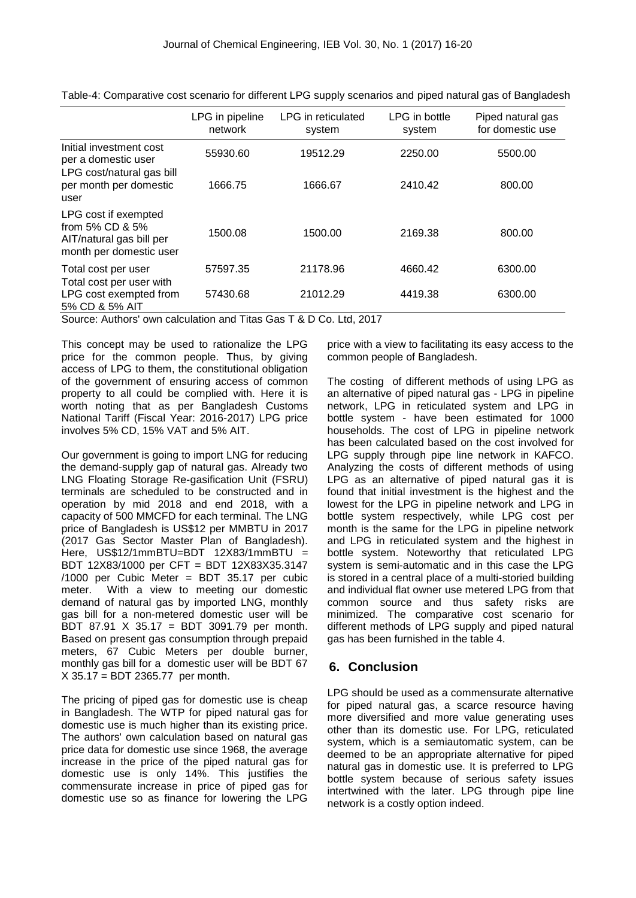|                                                                                                      | LPG in pipeline<br>network | LPG in reticulated<br>system | LPG in bottle<br>system | Piped natural gas<br>for domestic use |
|------------------------------------------------------------------------------------------------------|----------------------------|------------------------------|-------------------------|---------------------------------------|
| Initial investment cost<br>per a domestic user                                                       | 55930.60                   | 19512.29                     | 2250.00                 | 5500.00                               |
| LPG cost/natural gas bill<br>per month per domestic<br>user                                          | 1666.75                    | 1666.67                      | 2410.42                 | 800.00                                |
| LPG cost if exempted<br>from $5\%$ CD & $5\%$<br>AIT/natural gas bill per<br>month per domestic user | 1500.08                    | 1500.00                      | 2169.38                 | 800.00                                |
| Total cost per user<br>Total cost per user with                                                      | 57597.35                   | 21178.96                     | 4660.42                 | 6300.00                               |
| LPG cost exempted from<br>5% CD & 5% AIT                                                             | 57430.68                   | 21012.29                     | 4419.38                 | 6300.00                               |

Table-4: Comparative cost scenario for different LPG supply scenarios and piped natural gas of Bangladesh

Source: Authors' own calculation and Titas Gas T & D Co. Ltd, 2017

This concept may be used to rationalize the LPG price for the common people. Thus, by giving access of LPG to them, the constitutional obligation of the government of ensuring access of common property to all could be complied with. Here it is worth noting that as per Bangladesh Customs National Tariff (Fiscal Year: 2016-2017) LPG price involves 5% CD, 15% VAT and 5% AIT.

Our government is going to import LNG for reducing the demand-supply gap of natural gas. Already two LNG Floating Storage Re-gasification Unit (FSRU) terminals are scheduled to be constructed and in operation by mid 2018 and end 2018, with a capacity of 500 MMCFD for each terminal. The LNG price of Bangladesh is US\$12 per MMBTU in 2017 (2017 Gas Sector Master Plan of Bangladesh). Here, US\$12/1mmBTU=BDT 12X83/1mmBTU = BDT 12X83/1000 per CFT = BDT 12X83X35.3147 /1000 per Cubic Meter = BDT 35.17 per cubic meter. With a view to meeting our domestic demand of natural gas by imported LNG, monthly gas bill for a non-metered domestic user will be BDT 87.91 X 35.17 = BDT 3091.79 per month. Based on present gas consumption through prepaid meters, 67 Cubic Meters per double burner, monthly gas bill for a domestic user will be BDT 67 X 35.17 = BDT 2365.77 per month.

The pricing of piped gas for domestic use is cheap in Bangladesh. The WTP for piped natural gas for domestic use is much higher than its existing price. The authors' own calculation based on natural gas price data for domestic use since 1968, the average increase in the price of the piped natural gas for domestic use is only 14%. This justifies the commensurate increase in price of piped gas for domestic use so as finance for lowering the LPG

price with a view to facilitating its easy access to the common people of Bangladesh.

The costing of different methods of using LPG as an alternative of piped natural gas - LPG in pipeline network, LPG in reticulated system and LPG in bottle system - have been estimated for 1000 households. The cost of LPG in pipeline network has been calculated based on the cost involved for LPG supply through pipe line network in KAFCO. Analyzing the costs of different methods of using LPG as an alternative of piped natural gas it is found that initial investment is the highest and the lowest for the LPG in pipeline network and LPG in bottle system respectively, while LPG cost per month is the same for the LPG in pipeline network and LPG in reticulated system and the highest in bottle system. Noteworthy that reticulated LPG system is semi-automatic and in this case the LPG is stored in a central place of a multi-storied building and individual flat owner use metered LPG from that common source and thus safety risks are minimized. The comparative cost scenario for different methods of LPG supply and piped natural gas has been furnished in the table 4.

### **6. Conclusion**

LPG should be used as a commensurate alternative for piped natural gas, a scarce resource having more diversified and more value generating uses other than its domestic use. For LPG, reticulated system, which is a semiautomatic system, can be deemed to be an appropriate alternative for piped natural gas in domestic use. It is preferred to LPG bottle system because of serious safety issues intertwined with the later. LPG through pipe line network is a costly option indeed.